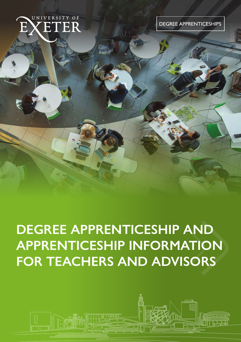

**DEGREE APPRENTICESHIPS** 

# **DEGREE APPRENTICESHIP AND APPRENTICESHIP INFORMATION FOR TEACHERS AND ADVISORS**

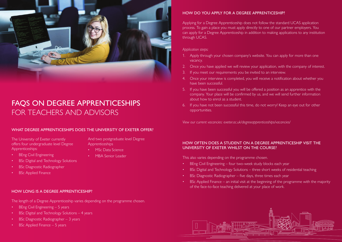

# FAQS ON DEGREE APPRENTICESHIPS FOR TEACHERS AND ADVISORS

# WHAT DEGREE APPRENTICESHIPS DOES THE UNIVERSITY OF EXETER OFFER?

The University of Exeter currently offers four undergraduate level Degree Apprenticeships:

And two postgraduate level Degree Apprenticeships

- MSc Data Science
- MBA Senior Leader
- BSc Digital and Technology Solutions
- BSc Diagnostic Radiographer

**BEng Civil Engineering** 

**BSc Applied Finance** 

#### HOW LONG IS A DEGREE APPRENTICESHIP?

The length of a Degree Apprenticeship varies depending on the programme chosen.

- BEng Civil Engineering 5 years
- BSc Digital and Technology Solutions 4 years
- BSc Diagnostic Radiographer 3 years
- BSc Applied Finance 5 years

HOW DO YOU APPLY FOR A DEGREE APPRENTICESHIP?

Applying for a Degree Apprenticeship does not follow the standard UCAS application process. To gain a place you must apply directly to one of our partner employers. You can apply for a Degree Apprenticeship in addition to making applications to any institution through UCAS.

#### *Application steps:*

- 1. Apply through your chosen company's website. You can apply for more than one vacancy.
- 2. Once you have applied we will review your application, with the company of interest.
- 3. If you meet our requirements you be invited to an interview.
- 4. Once your interview is completed, you will receive a notification about whether you have been successful.
- 5. If you have been successful you will be offered a position as an apprentice with the company. Your place will be confirmed by us, and we will send further information about how to enrol as a student.
- 6. If you have not been successful this time, do not worry! Keep an eye out for other opportunities.

*View our current vacancies: exeter.ac.uk/degreeapprenticeships/vacancies/* 

### HOW OFTEN DOES A STUDENT ON A DEGREE APPRENTICESHIP VISIT THE UNIVERSITY OF EXETER WHILST ON THE COURSE?

This also varies depending on the programme chosen.

- BEng Civil Engineering four two-week study blocks each year
- BSc Digital and Technology Solutions three short weeks of residential teaching
- BSc Diagnostic Radiographer five days, three times each year
- BSc Applied Finance an initial visit at the beginning of the programme with the majority of the face-to-face teaching delivered at your place of work.

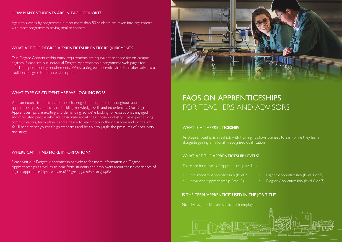# HOW MANY STUDENTS ARE IN EACH COHORT?

Again this varies by programme but no more than 80 students are taken into any cohort with most programmes having smaller cohorts

# WHAT ARE THE DEGREE APPRENTICESHIP ENTRY REQUIREMENTS?

Our Degree Apprenticeship entry requirements are equivalent to those for on-campus degrees. Please see our individual Degree Apprenticeship programme web pages for details of specific entry requirements. Whilst a degree apprenticeships is an alternative to a traditional degree is not an easier option.

### WHAT TYPE OF STUDENT ARE WE LOOKING FOR?

You can expect to be stretched and challenged, but supported throughout your apprenticeship as you focus on building knowledge, skills and experiences. Our Degree Apprenticeships are exciting and demanding, so we're looking for exceptional, engaged and motivated people who are passionate about their chosen industry. We expect strong communicators, team players and a desire to learn both in the classroom and on the job. You'll need to set yourself high standards and be able to juggle the pressures of both work and study.

#### WHERE CAN I FIND MORE INFORMATION?

Please visit our Degree Apprenticeships website for more information on Degree Apprenticeships as well as to hear from students and employers about their experiences of degree apprenticeships: *exeter.ac.uk/degreeapprenticeships/pupils/*



# FAQS ON APPRENTICESHIPS FOR TEACHERS AND ADVISORS

#### WHAT IS AN APPRENTICESHIP?

An Apprenticeship is a real job with training. It allows trainees to earn while they learn alongside gaining a nationally recognised qualification.

#### WHAT ARE THE APPRENTICESHIP LEVELS?

There are four levels of Apprenticeship available

- Intermediate Apprenticeship (level 2)
- Advanced Apprenticeship (level 3)

#### IS THE TERM 'APPRENTICE' USED IN THE JOB TITLE?

Not always. Job titles are set by each employer.

- Higher Apprenticeship (level 4 or 5)
	- Degree Apprenticeship (level 6 or 7)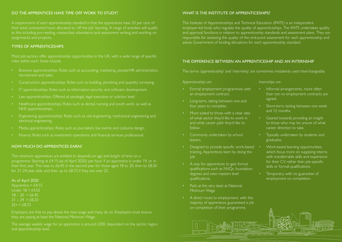# DO THE APPRENTICES HAVE TIME OFF WORK TO STUDY?

A requirement of each apprenticeship standard is that the apprentices have 20 per cent of their total contracted hours allocated to 'off the job' learning. A range of activities will qualify as this including pre reading, masterclass attendance and assessment writing and working on assignments and projects..

#### TYPES OF APPRENTICESHIPS

Most job sectors offer apprenticeship opportunities in the UK, with a wide range of specific roles within each, these include:

- Business apprenticeships: Roles such as accounting, marketing, people/HR administration, recruitment and sales.
- Construction apprenticeships: Roles such as building, plumbing and quantity surveying.
- IT apprenticeships: Roles such as information security and software development.
- Law apprenticeships: Offered at paralegal, legal executive or solicitor level.
- Healthcare apprenticeships: Roles such as dental, nursing and youth work, as well as NHS apprenticeships.
- Engineering apprenticeships: Roles such as civil engineering, mechanical engineering and electrical engineering.
- Media apprenticeships: Roles such as journalism, live events and costume design.
- Finance: Roles such as investment operations and financial services professional.

#### HOW MUCH DO APPRENTICES EARN?

The minimum apprentices are entitled to depends on age and length of time on a programme. Starting at £4.15 (as of April 2020) per hour if an apprentice is under 19, or in their first year. This rises to £6.45 in the second year for those aged 18 to 20, then to £8.20

#### As of April 2020

Apprentice =  $£4.15$ Under  $18 = \text{\textsterling}4.55$  $18 - 20 = £6.45$  $21 - 24 = £8.20$  $25+ = f8.72$ 

they are paying at least the National Minimum Wage.

The average weekly wage for an apprentice is around £200, dependant on the sector, region and apprenticeship level.

#### WHAT IS THE INSTITUTE OF APPRENTICESHIPS?

The Institute of Apprenticeships and Technical Education (IFATE) is an independent employer-led body who regulate the quality of apprenticeships. The IFATE undertakes quality and approval functions in relation to apprenticeship standards and assessment plans. They are responsible for assessing the quality of the end-point assessment for each apprenticeship and advise Government of funding allocations for each apprenticeship standard.

### THE DIFFERENCE BETWEEN AN APPRENTICESHIP AND AN INTERNSHIP

The terms 'apprenticeship' and 'internship' are sometimes mistakenly used interchangeably.

#### *Apprenticeships are:*

- Formal employment programmes with an employment contract.
- Long-term, taking between one and four years to complete.
- More suited to those with a clear idea of what sector they'd like to work in and what career path they'd like to follow.
- Commonly undertaken by school leavers.
- Designed to provide specific work-based training. Apprentices learn by doing the job.
- A way for apprentices to gain formal qualifications such as NVQs, foundation degrees and even masters level qualifications.
- Paid, at the very least at National Minimum Wage
- A direct route to employment, with the majority of apprentices guaranteed a job on completion of their programme.

#### *Internships are:*

- Informal arrangements, more often than not no employment contracts are signed.
- Short-term, lasting between one week and 12 months.
- Geared towards providing an insight to those who may be unsure of what career direction to take.
- Typically undertaken by students and graduates.
- Work-based learning opportunities, which focus more on supplying interns with transferrable skills and experience for their CV rather than job-specific skills or formal qualifications
- Temporary, with no guarantee of employment on completion.